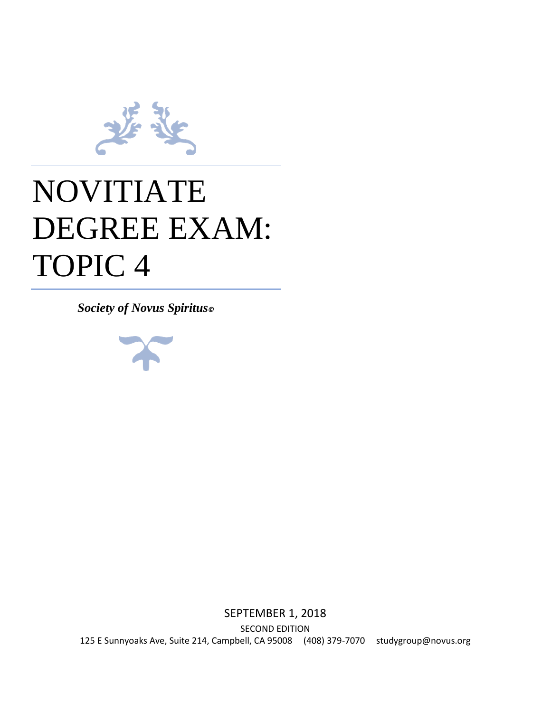

## NOVITIATE DEGREE EXAM: TOPIC 4

*Society of Novus Spiritus©*



SEPTEMBER 1, 2018 SECOND EDITION 125 E Sunnyoaks Ave, Suite 214, Campbell, CA 95008 (408) 379-7070 studygroup@novus.org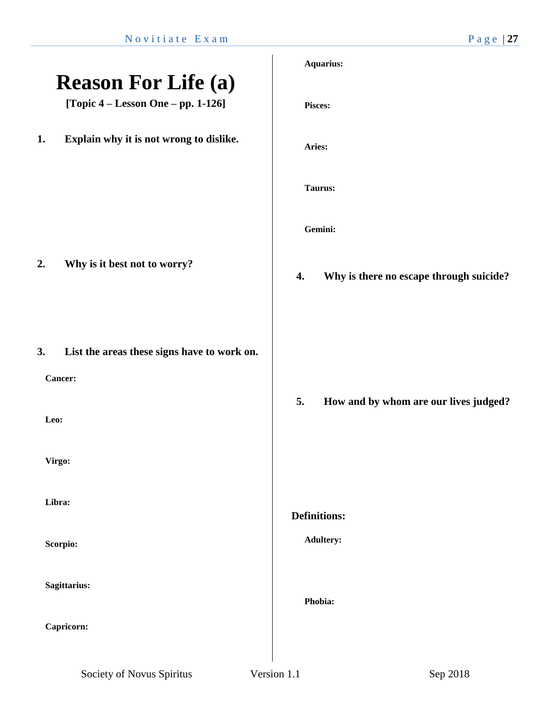|                                                                      | <b>Aquarius:</b>                              |
|----------------------------------------------------------------------|-----------------------------------------------|
| <b>Reason For Life (a)</b><br>[Topic $4 -$ Lesson One $-$ pp. 1-126] | Pisces:                                       |
| Explain why it is not wrong to dislike.<br>1.                        | Aries:                                        |
|                                                                      | Taurus:                                       |
|                                                                      | Gemini:                                       |
| Why is it best not to worry?<br>2.                                   | Why is there no escape through suicide?<br>4. |
| 3.<br>List the areas these signs have to work on.<br>Cancer:         |                                               |
| Leo:                                                                 | How and by whom are our lives judged?<br>5.   |
| Virgo:                                                               |                                               |
| Libra:                                                               | <b>Definitions:</b>                           |
| Scorpio:                                                             | <b>Adultery:</b>                              |
| Sagittarius:                                                         | Phobia:                                       |
| Capricorn:                                                           |                                               |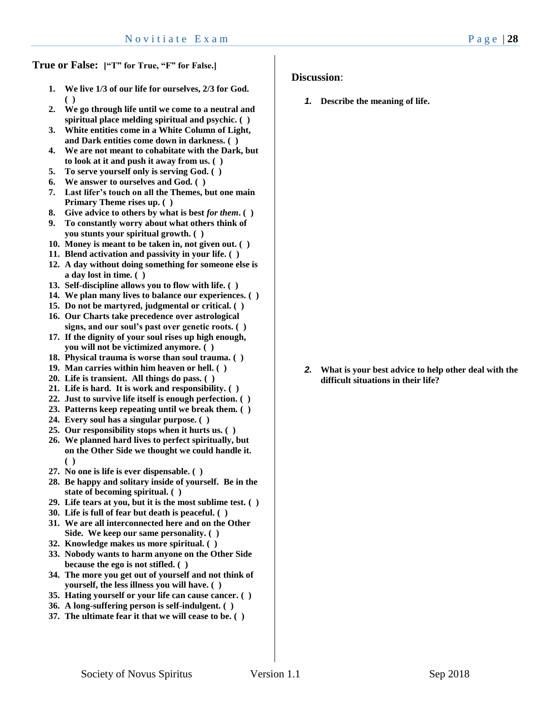**True or False: ["T" for True, "F" for False.]**

- **1. We live 1/3 of our life for ourselves, 2/3 for God. ( )**
- **2. We go through life until we come to a neutral and spiritual place melding spiritual and psychic. ( )**
- **3. White entities come in a White Column of Light, and Dark entities come down in darkness. ( )**
- **4. We are not meant to cohabitate with the Dark, but to look at it and push it away from us. ( )**
- **5. To serve yourself only is serving God. ( )**
- **6. We answer to ourselves and God. ( )**
- **7. Last lifer's touch on all the Themes, but one main Primary Theme rises up. ( )**
- **8. Give advice to others by what is best** *for them***. ( )**
- **9. To constantly worry about what others think of you stunts your spiritual growth. ( )**
- **10. Money is meant to be taken in, not given out. ( )**
- **11. Blend activation and passivity in your life. ( )**
- **12. A day without doing something for someone else is a day lost in time. ( )**
- **13. Self-discipline allows you to flow with life. ( )**
- **14. We plan many lives to balance our experiences. ( )**
- **15. Do not be martyred, judgmental or critical. ( )**
- **16. Our Charts take precedence over astrological signs, and our soul's past over genetic roots. ( )**
- **17. If the dignity of your soul rises up high enough, you will not be victimized anymore. ( )**
- **18. Physical trauma is worse than soul trauma. ( )**
- **19. Man carries within him heaven or hell. ( )**
- **20. Life is transient. All things do pass. ( )**
- **21. Life is hard. It is work and responsibility. ( )**
- **22. Just to survive life itself is enough perfection. ( )**
- **23. Patterns keep repeating until we break them. ( )**
- **24. Every soul has a singular purpose. ( )**
- **25. Our responsibility stops when it hurts us. ( )**
- **26. We planned hard lives to perfect spiritually, but on the Other Side we thought we could handle it. ( )**
- **27. No one is life is ever dispensable. ( )**
- **28. Be happy and solitary inside of yourself. Be in the state of becoming spiritual. ( )**
- **29. Life tears at you, but it is the most sublime test. ( )**
- **30. Life is full of fear but death is peaceful. ( )**
- **31. We are all interconnected here and on the Other Side. We keep our same personality. ( )**
- **32. Knowledge makes us more spiritual. ( )**
- **33. Nobody wants to harm anyone on the Other Side because the ego is not stifled. ( )**
- **34. The more you get out of yourself and not think of yourself, the less illness you will have. ( )**
- **35. Hating yourself or your life can cause cancer. ( )**
- **36. A long-suffering person is self-indulgent. ( )**
- **37. The ultimate fear it that we will cease to be. ( )**

**Discussion**:

*1.* **Describe the meaning of life.**

*2.* **What is your best advice to help other deal with the difficult situations in their life?**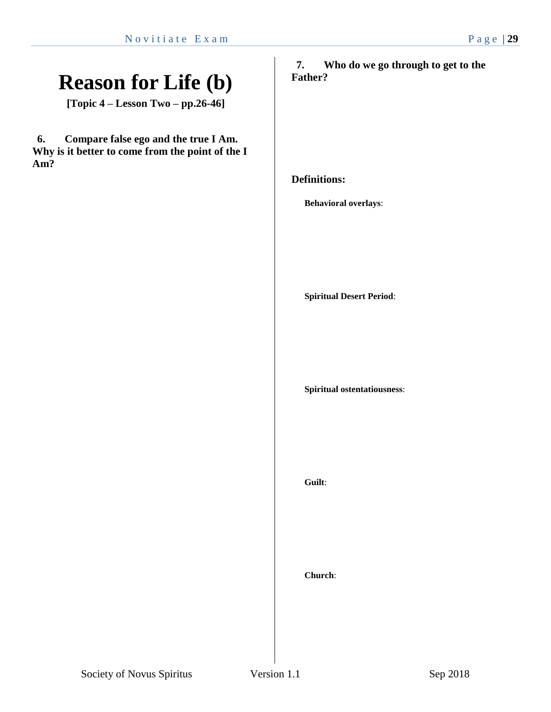### **Reason for Life (b)**

**[Topic 4 – Lesson Two – pp.26-46]**

**6. Compare false ego and the true I Am. Why is it better to come from the point of the I Am?**

**7. Who do we go through to get to the Father?**

**Definitions:**

**Behavioral overlays**:

**Spiritual Desert Period**:

**Spiritual ostentatiousness**:

**Guilt**:

**Church**: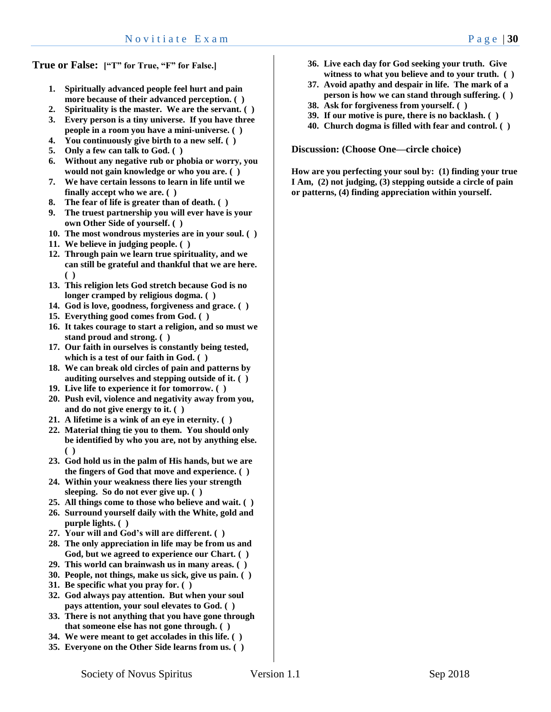**True or False: ["T" for True, "F" for False.]**

- **1. Spiritually advanced people feel hurt and pain more because of their advanced perception. ( )**
- **2. Spirituality is the master. We are the servant. ( )**
- **3. Every person is a tiny universe. If you have three people in a room you have a mini-universe. ( )**
- **4. You continuously give birth to a new self. ( )**
- **5. Only a few can talk to God. ( )**
- **6. Without any negative rub or phobia or worry, you would not gain knowledge or who you are. ( )**
- **7. We have certain lessons to learn in life until we finally accept who we are. ( )**
- **8. The fear of life is greater than of death. ( )**
- **9. The truest partnership you will ever have is your own Other Side of yourself. ( )**
- **10. The most wondrous mysteries are in your soul. ( )**
- **11. We believe in judging people. ( )**
- **12. Through pain we learn true spirituality, and we can still be grateful and thankful that we are here. ( )**
- **13. This religion lets God stretch because God is no longer cramped by religious dogma. ( )**
- **14. God is love, goodness, forgiveness and grace. ( )**
- **15. Everything good comes from God. ( )**
- **16. It takes courage to start a religion, and so must we stand proud and strong. ( )**
- **17. Our faith in ourselves is constantly being tested, which is a test of our faith in God. ( )**
- **18. We can break old circles of pain and patterns by auditing ourselves and stepping outside of it. ( )**
- **19. Live life to experience it for tomorrow. ( )**
- **20. Push evil, violence and negativity away from you, and do not give energy to it. ( )**
- **21. A lifetime is a wink of an eye in eternity. ( )**
- **22. Material thing tie you to them. You should only be identified by who you are, not by anything else. ( )**
- **23. God hold us in the palm of His hands, but we are the fingers of God that move and experience. ( )**
- **24. Within your weakness there lies your strength sleeping. So do not ever give up. ( )**
- **25. All things come to those who believe and wait. ( )**
- **26. Surround yourself daily with the White, gold and purple lights. ( )**
- **27. Your will and God's will are different. ( )**
- **28. The only appreciation in life may be from us and God, but we agreed to experience our Chart. ( )**
- **29. This world can brainwash us in many areas. ( )**
- **30. People, not things, make us sick, give us pain. ( )**
- **31. Be specific what you pray for. ( )**
- **32. God always pay attention. But when your soul pays attention, your soul elevates to God. ( )**
- **33. There is not anything that you have gone through that someone else has not gone through. ( )**
- **34. We were meant to get accolades in this life. ( )**
- **35. Everyone on the Other Side learns from us. ( )**
- **36. Live each day for God seeking your truth. Give witness to what you believe and to your truth. ( )**
- **37. Avoid apathy and despair in life. The mark of a person is how we can stand through suffering. ( )**
- **38. Ask for forgiveness from yourself. ( )**
- **39. If our motive is pure, there is no backlash. ( )**
- **40. Church dogma is filled with fear and control. ( )**

**Discussion: (Choose One—circle choice)**

**How are you perfecting your soul by: (1) finding your true I Am, (2) not judging, (3) stepping outside a circle of pain or patterns, (4) finding appreciation within yourself.**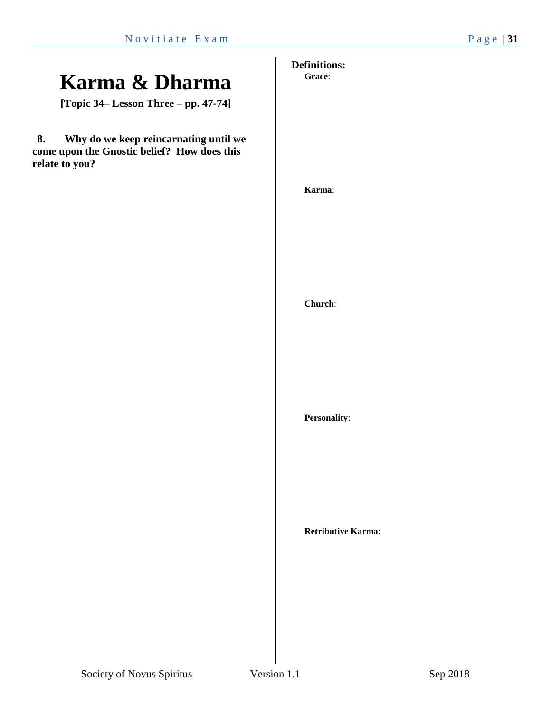### **Karma & Dharma**

**[Topic 34– Lesson Three – pp. 47-74]**

**8. Why do we keep reincarnating until we come upon the Gnostic belief? How does this relate to you?**

**Definitions: Grace**:

**Karma**:

**Church**:

**Personality**:

**Retributive Karma**: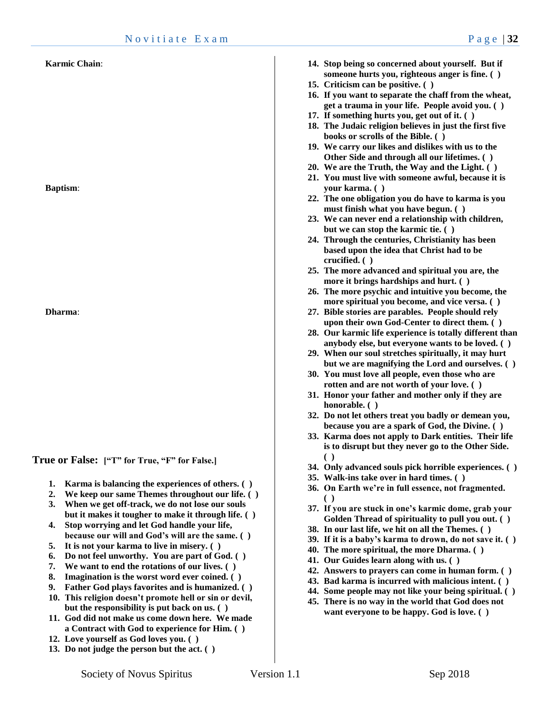#### **Karmic Chain**:

**Baptism**:

**Dharma**:

**True or False: ["T" for True, "F" for False.]**

- **1. Karma is balancing the experiences of others. ( )**
- **2. We keep our same Themes throughout our life. ( )**
- **3. When we get off-track, we do not lose our souls but it makes it tougher to make it through life. ( )**
- **4. Stop worrying and let God handle your life, because our will and God's will are the same. ( )**
- **5. It is not your karma to live in misery. ( )**
- **6. Do not feel unworthy. You are part of God. ( )**
- **7. We want to end the rotations of our lives. ( )**
- **8. Imagination is the worst word ever coined. ( )**
- **9. Father God plays favorites and is humanized. ( )**
- **10. This religion doesn't promote hell or sin or devil, but the responsibility is put back on us. ( )**
- **11. God did not make us come down here. We made a Contract with God to experience for Him. ( )**
- **12. Love yourself as God loves you. ( )**
- **13. Do not judge the person but the act. ( )**
- **14. Stop being so concerned about yourself. But if someone hurts you, righteous anger is fine. ( )**
- **15. Criticism can be positive. ( )**
- **16. If you want to separate the chaff from the wheat, get a trauma in your life. People avoid you. ( )**
- **17. If something hurts you, get out of it. ( )**
- **18. The Judaic religion believes in just the first five books or scrolls of the Bible. ( )**
- **19. We carry our likes and dislikes with us to the Other Side and through all our lifetimes. ( )**
- **20. We are the Truth, the Way and the Light. ( )**
- **21. You must live with someone awful, because it is your karma. ( )**
- **22. The one obligation you do have to karma is you must finish what you have begun. ( )**
- **23. We can never end a relationship with children, but we can stop the karmic tie. ( )**
- **24. Through the centuries, Christianity has been based upon the idea that Christ had to be crucified. ( )**
- **25. The more advanced and spiritual you are, the more it brings hardships and hurt. ( )**
- **26. The more psychic and intuitive you become, the more spiritual you become, and vice versa. ( )**
- **27. Bible stories are parables. People should rely upon their own God-Center to direct them. ( )**
- **28. Our karmic life experience is totally different than anybody else, but everyone wants to be loved. ( )**
- **29. When our soul stretches spiritually, it may hurt but we are magnifying the Lord and ourselves. ( )**
- **30. You must love all people, even those who are rotten and are not worth of your love. ( )**
- **31. Honor your father and mother only if they are honorable. ( )**
- **32. Do not let others treat you badly or demean you, because you are a spark of God, the Divine. ( )**
- **33. Karma does not apply to Dark entities. Their life is to disrupt but they never go to the Other Side. ( )**
- **34. Only advanced souls pick horrible experiences. ( )**
- **35. Walk-ins take over in hard times. ( )**
- **36. On Earth we're in full essence, not fragmented. ( )**
- **37. If you are stuck in one's karmic dome, grab your Golden Thread of spirituality to pull you out. ( )**
- **38. In our last life, we hit on all the Themes. ( )**
- **39. If it is a baby's karma to drown, do not save it. ( )**
- **40. The more spiritual, the more Dharma. ( )**
- **41. Our Guides learn along with us. ( )**
- **42. Answers to prayers can come in human form. ( )**
- **43. Bad karma is incurred with malicious intent. ( )**
- **44. Some people may not like your being spiritual. ( )**
- **45. There is no way in the world that God does not want everyone to be happy. God is love. ( )**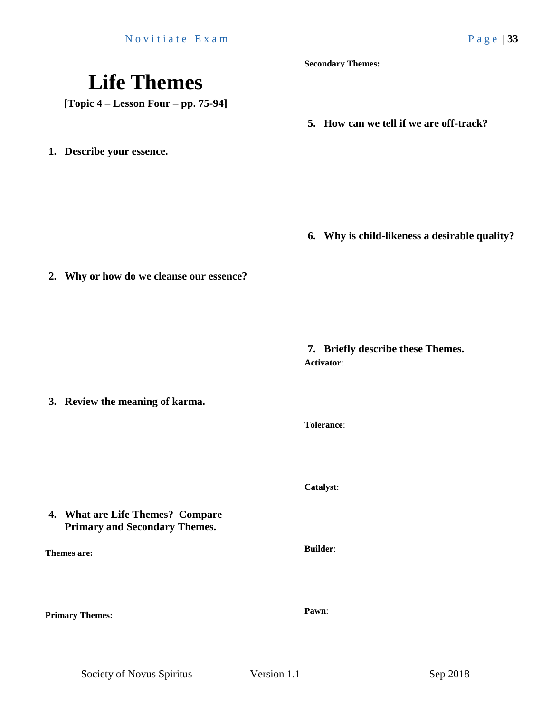|                                                                          | <b>Secondary Themes:</b>                        |
|--------------------------------------------------------------------------|-------------------------------------------------|
| <b>Life Themes</b><br>[Topic $4 -$ Lesson Four $-$ pp. 75-94]            |                                                 |
|                                                                          | 5. How can we tell if we are off-track?         |
| 1. Describe your essence.                                                |                                                 |
|                                                                          |                                                 |
|                                                                          | 6. Why is child-likeness a desirable quality?   |
| 2. Why or how do we cleanse our essence?                                 |                                                 |
|                                                                          |                                                 |
|                                                                          | 7. Briefly describe these Themes.<br>Activator: |
| 3. Review the meaning of karma.                                          |                                                 |
|                                                                          | <b>Tolerance:</b>                               |
|                                                                          |                                                 |
|                                                                          | Catalyst:                                       |
| 4. What are Life Themes? Compare<br><b>Primary and Secondary Themes.</b> | <b>Builder:</b>                                 |
| Themes are:                                                              |                                                 |
| <b>Primary Themes:</b>                                                   | Pawn:                                           |
|                                                                          |                                                 |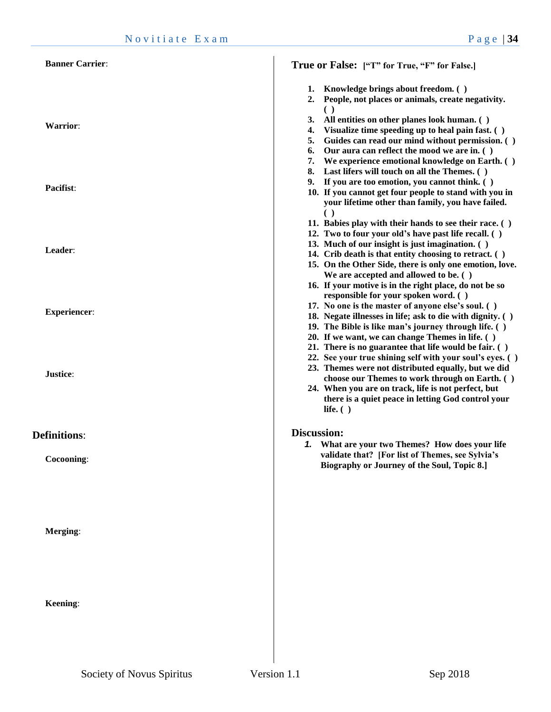| <b>Banner Carrier:</b> | True or False: ["T" for True, "F" for False.]                                                                                                                                                                                                                                                                                                                                             |
|------------------------|-------------------------------------------------------------------------------------------------------------------------------------------------------------------------------------------------------------------------------------------------------------------------------------------------------------------------------------------------------------------------------------------|
|                        | Knowledge brings about freedom. ()<br>1.<br>People, not places or animals, create negativity.<br>2.                                                                                                                                                                                                                                                                                       |
| <b>Warrior:</b>        | $\left( \quad \right)$<br>3.<br>All entities on other planes look human. ()<br>Visualize time speeding up to heal pain fast. ()<br>4.<br>5. Guides can read our mind without permission. ()<br>Our aura can reflect the mood we are in. ()<br>6.                                                                                                                                          |
| Pacifist:              | 7.<br>We experience emotional knowledge on Earth. ()<br>8. Last lifers will touch on all the Themes. ()<br>9. If you are too emotion, you cannot think. ()<br>10. If you cannot get four people to stand with you in<br>your lifetime other than family, you have failed.                                                                                                                 |
| Leader:                | 11. Babies play with their hands to see their race. ()<br>12. Two to four your old's have past life recall. ()<br>13. Much of our insight is just imagination. ()<br>14. Crib death is that entity choosing to retract. ()<br>15. On the Other Side, there is only one emotion, love.<br>We are accepted and allowed to be. ()                                                            |
| <b>Experiencer:</b>    | 16. If your motive is in the right place, do not be so<br>responsible for your spoken word. ()<br>17. No one is the master of anyone else's soul. ()<br>18. Negate illnesses in life; ask to die with dignity. ()<br>19. The Bible is like man's journey through life. ()<br>20. If we want, we can change Themes in life. ()<br>21. There is no guarantee that life would be fair. $( )$ |
| Justice:               | 22. See your true shining self with your soul's eyes. ()<br>23. Themes were not distributed equally, but we did<br>choose our Themes to work through on Earth. ()<br>24. When you are on track, life is not perfect, but<br>there is a quiet peace in letting God control your<br>life. $( )$                                                                                             |
| <b>Definitions:</b>    | <b>Discussion:</b>                                                                                                                                                                                                                                                                                                                                                                        |
| Cocooning:             | 1. What are your two Themes? How does your life<br>validate that? [For list of Themes, see Sylvia's<br>Biography or Journey of the Soul, Topic 8.]                                                                                                                                                                                                                                        |
| Merging:               |                                                                                                                                                                                                                                                                                                                                                                                           |
| Keening:               |                                                                                                                                                                                                                                                                                                                                                                                           |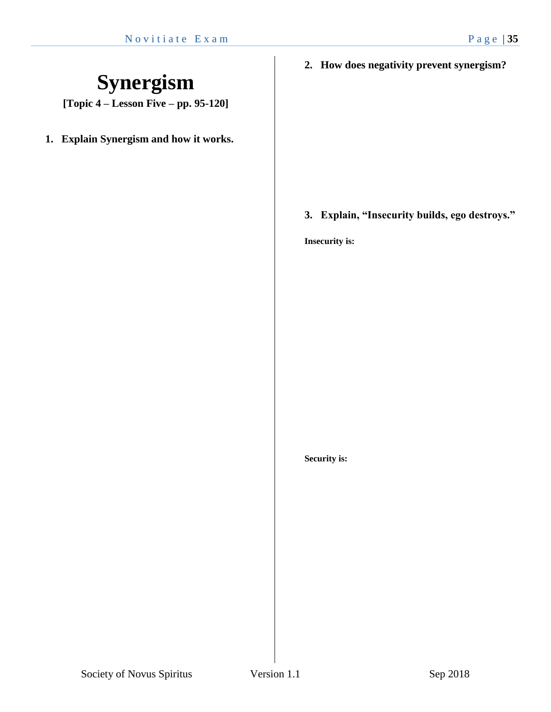### **Synergism**

**[Topic 4 – Lesson Five – pp. 95-120]**

**1. Explain Synergism and how it works.**

**2. How does negativity prevent synergism?**

**3. Explain, "Insecurity builds, ego destroys."**

**Insecurity is:**

**Security is:**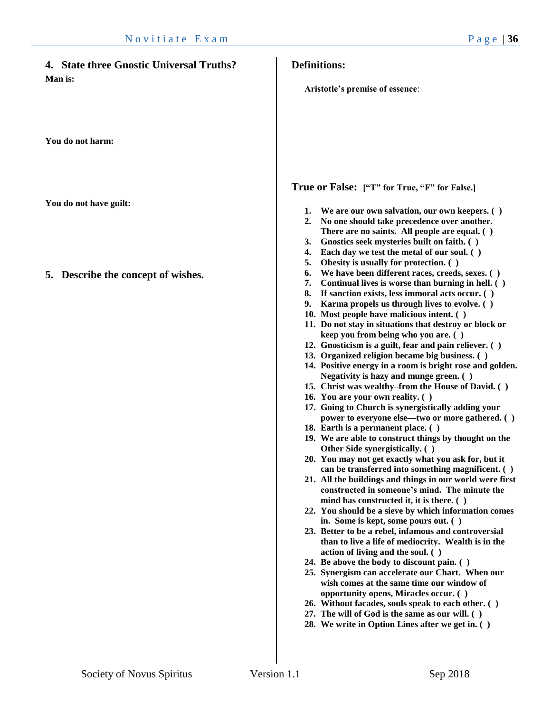| 4. State three Gnostic Universal Truths? | <b>Definitions:</b>                                                                                                                                                                                                                                                                                                                                                                                                                                                                                                                                                                                                                                                                                                                                                                                                                                                                                                                                                                                                                                                                                                                                                                                                                                                                                                                                                                                                                                                                                                                                                                                                                                                                                                                                                                                               |
|------------------------------------------|-------------------------------------------------------------------------------------------------------------------------------------------------------------------------------------------------------------------------------------------------------------------------------------------------------------------------------------------------------------------------------------------------------------------------------------------------------------------------------------------------------------------------------------------------------------------------------------------------------------------------------------------------------------------------------------------------------------------------------------------------------------------------------------------------------------------------------------------------------------------------------------------------------------------------------------------------------------------------------------------------------------------------------------------------------------------------------------------------------------------------------------------------------------------------------------------------------------------------------------------------------------------------------------------------------------------------------------------------------------------------------------------------------------------------------------------------------------------------------------------------------------------------------------------------------------------------------------------------------------------------------------------------------------------------------------------------------------------------------------------------------------------------------------------------------------------|
| Man is:                                  | Aristotle's premise of essence:                                                                                                                                                                                                                                                                                                                                                                                                                                                                                                                                                                                                                                                                                                                                                                                                                                                                                                                                                                                                                                                                                                                                                                                                                                                                                                                                                                                                                                                                                                                                                                                                                                                                                                                                                                                   |
| You do not harm:                         |                                                                                                                                                                                                                                                                                                                                                                                                                                                                                                                                                                                                                                                                                                                                                                                                                                                                                                                                                                                                                                                                                                                                                                                                                                                                                                                                                                                                                                                                                                                                                                                                                                                                                                                                                                                                                   |
|                                          | True or False: ["T" for True, "F" for False.]                                                                                                                                                                                                                                                                                                                                                                                                                                                                                                                                                                                                                                                                                                                                                                                                                                                                                                                                                                                                                                                                                                                                                                                                                                                                                                                                                                                                                                                                                                                                                                                                                                                                                                                                                                     |
| You do not have guilt:                   | 1. We are our own salvation, our own keepers. ()<br>No one should take precedence over another.<br>2.<br>There are no saints. All people are equal. ()<br>Gnostics seek mysteries built on faith. ()<br>3.<br>Each day we test the metal of our soul. ()<br>4.<br>Obesity is usually for protection. ()<br>5.                                                                                                                                                                                                                                                                                                                                                                                                                                                                                                                                                                                                                                                                                                                                                                                                                                                                                                                                                                                                                                                                                                                                                                                                                                                                                                                                                                                                                                                                                                     |
| 5. Describe the concept of wishes.       | We have been different races, creeds, sexes. ()<br>6.<br>7.<br>Continual lives is worse than burning in hell. ()<br>If sanction exists, less immoral acts occur. ()<br>8.<br>Karma propels us through lives to evolve. ()<br>9.<br>10. Most people have malicious intent. ()<br>11. Do not stay in situations that destroy or block or<br>keep you from being who you are. ()<br>12. Gnosticism is a guilt, fear and pain reliever. ()<br>13. Organized religion became big business. ()<br>14. Positive energy in a room is bright rose and golden.<br>Negativity is hazy and munge green. ()<br>15. Christ was wealthy-from the House of David. ()<br>16. You are your own reality. ()<br>17. Going to Church is synergistically adding your<br>power to everyone else—two or more gathered. ()<br>18. Earth is a permanent place. ()<br>19. We are able to construct things by thought on the<br>Other Side synergistically. ()<br>20. You may not get exactly what you ask for, but it<br>can be transferred into something magnificent. ()<br>21. All the buildings and things in our world were first<br>constructed in someone's mind. The minute the<br>mind has constructed it, it is there. ()<br>22. You should be a sieve by which information comes<br>in. Some is kept, some pours out. ()<br>23. Better to be a rebel, infamous and controversial<br>than to live a life of mediocrity. Wealth is in the<br>action of living and the soul. ()<br>24. Be above the body to discount pain. ()<br>25. Synergism can accelerate our Chart. When our<br>wish comes at the same time our window of<br>opportunity opens, Miracles occur. ()<br>26. Without facades, souls speak to each other. ()<br>27. The will of God is the same as our will. ()<br>28. We write in Option Lines after we get in. () |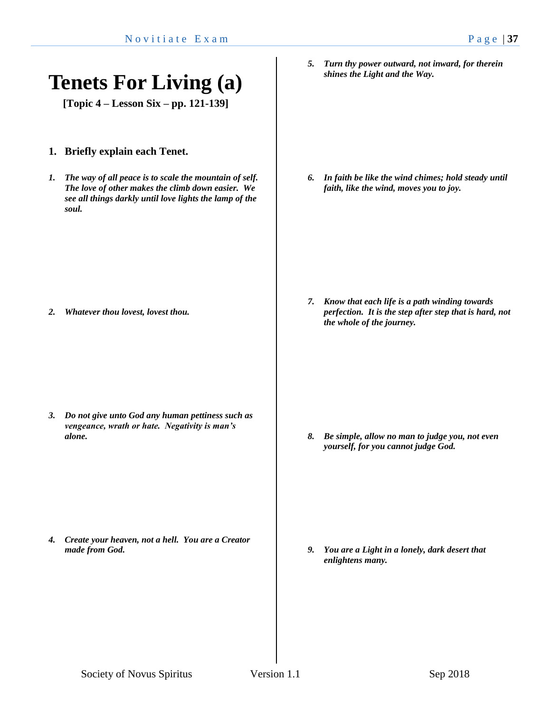### **Tenets For Living (a)**

**[Topic 4 – Lesson Six – pp. 121-139]**

- **1. Briefly explain each Tenet.**
- *1. The way of all peace is to scale the mountain of self. The love of other makes the climb down easier. We see all things darkly until love lights the lamp of the soul.*

*2. Whatever thou lovest, lovest thou.*

*3. Do not give unto God any human pettiness such as vengeance, wrath or hate. Negativity is man's alone.*

*4. Create your heaven, not a hell. You are a Creator made from God.*

*5. Turn thy power outward, not inward, for therein shines the Light and the Way.*

*6. In faith be like the wind chimes; hold steady until faith, like the wind, moves you to joy.*

*7. Know that each life is a path winding towards perfection. It is the step after step that is hard, not the whole of the journey.*

*8. Be simple, allow no man to judge you, not even yourself, for you cannot judge God.*

*9. You are a Light in a lonely, dark desert that enlightens many.*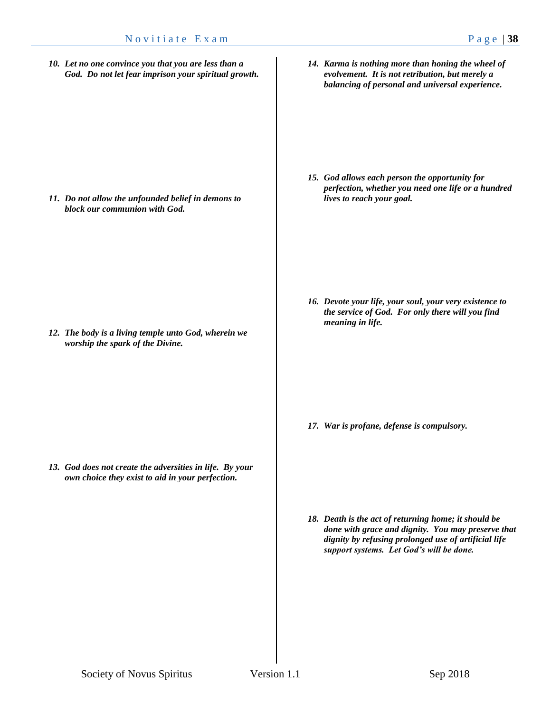*10. Let no one convince you that you are less than a God. Do not let fear imprison your spiritual growth.*

*11. Do not allow the unfounded belief in demons to block our communion with God.*

*12. The body is a living temple unto God, wherein we worship the spark of the Divine.* 

*13. God does not create the adversities in life. By your own choice they exist to aid in your perfection.*

*14. Karma is nothing more than honing the wheel of evolvement. It is not retribution, but merely a balancing of personal and universal experience.*

*15. God allows each person the opportunity for perfection, whether you need one life or a hundred lives to reach your goal.*

*16. Devote your life, your soul, your very existence to the service of God. For only there will you find meaning in life.*

*17. War is profane, defense is compulsory.*

*18. Death is the act of returning home; it should be done with grace and dignity. You may preserve that dignity by refusing prolonged use of artificial life support systems. Let God's will be done.*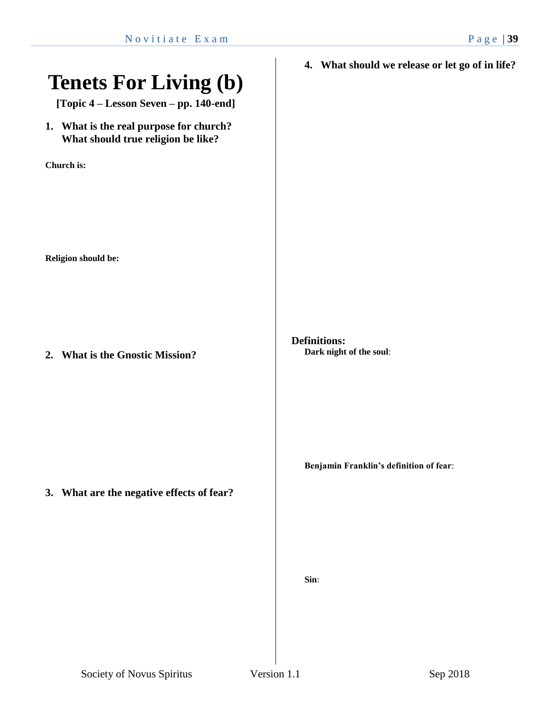# **Tenets For Living (b) [Topic 4 – Lesson Seven – pp. 140-end] 1. What is the real purpose for church? What should true religion be like? Church is: Religion should be: 2. What is the Gnostic Mission? 3. What are the negative effects of fear? 4. What should we release or let go of in life? Definitions: Dark night of the soul**: **Benjamin Franklin's definition of fear**: **Sin**: